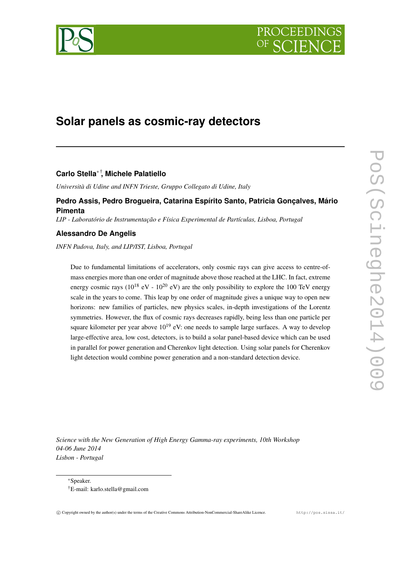# **Solar panels as cosmic-ray detectors**

# **Carlo Stella**∗† **, Michele Palatiello**

*Università di Udine and INFN Trieste, Gruppo Collegato di Udine, Italy*

## **Pedro Assis, Pedro Brogueira, Catarina Espírito Santo, Patricia Gonçalves, Mário Pimenta**

*LIP - Laboratório de Instrumentação e Física Experimental de Partículas, Lisboa, Portugal*

## **Alessandro De Angelis**

*INFN Padova, Italy, and LIP/IST, Lisboa, Portugal*

Due to fundamental limitations of accelerators, only cosmic rays can give access to centre-ofmass energies more than one order of magnitude above those reached at the LHC. In fact, extreme energy cosmic rays ( $10^{18}$  eV -  $10^{20}$  eV) are the only possibility to explore the 100 TeV energy scale in the years to come. This leap by one order of magnitude gives a unique way to open new horizons: new families of particles, new physics scales, in-depth investigations of the Lorentz symmetries. However, the flux of cosmic rays decreases rapidly, being less than one particle per square kilometer per year above  $10^{19}$  eV: one needs to sample large surfaces. A way to develop large-effective area, low cost, detectors, is to build a solar panel-based device which can be used in parallel for power generation and Cherenkov light detection. Using solar panels for Cherenkov light detection would combine power generation and a non-standard detection device.

*Science with the New Generation of High Energy Gamma-ray experiments, 10th Workshop 04-06 June 2014 Lisbon - Portugal*

<sup>∗</sup>Speaker.

<sup>†</sup>E-mail: karlo.stella@gmail.com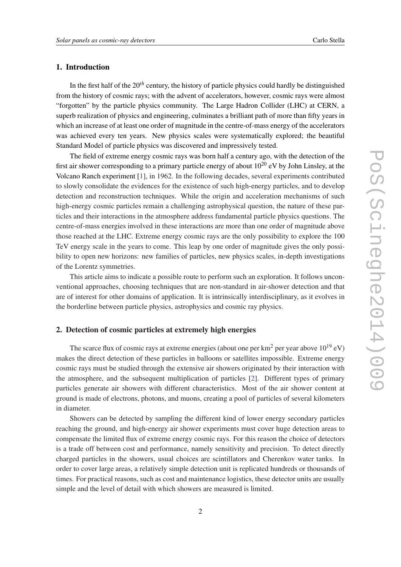### 1. Introduction

In the first half of the 20*th* century, the history of particle physics could hardly be distinguished from the history of cosmic rays; with the advent of accelerators, however, cosmic rays were almost "forgotten" by the particle physics community. The Large Hadron Collider (LHC) at CERN, a superb realization of physics and engineering, culminates a brilliant path of more than fifty years in which an increase of at least one order of magnitude in the centre-of-mass energy of the accelerators was achieved every ten years. New physics scales were systematically explored; the beautiful Standard Model of particle physics was discovered and impressively tested.

The field of extreme energy cosmic rays was born half a century ago, with the detection of the first air shower corresponding to a primary particle energy of about  $10^{20}$  eV by John Linsley, at the Volcano Ranch experiment [\[1\]](#page-5-0), in 1962. In the following decades, several experiments contributed to slowly consolidate the evidences for the existence of such high-energy particles, and to develop detection and reconstruction techniques. While the origin and acceleration mechanisms of such high-energy cosmic particles remain a challenging astrophysical question, the nature of these particles and their interactions in the atmosphere address fundamental particle physics questions. The centre-of-mass energies involved in these interactions are more than one order of magnitude above those reached at the LHC. Extreme energy cosmic rays are the only possibility to explore the 100 TeV energy scale in the years to come. This leap by one order of magnitude gives the only possibility to open new horizons: new families of particles, new physics scales, in-depth investigations of the Lorentz symmetries.

This article aims to indicate a possible route to perform such an exploration. It follows unconventional approaches, choosing techniques that are non-standard in air-shower detection and that are of interest for other domains of application. It is intrinsically interdisciplinary, as it evolves in the borderline between particle physics, astrophysics and cosmic ray physics.

#### 2. Detection of cosmic particles at extremely high energies

The scarce flux of cosmic rays at extreme energies (about one per  $km^2$  per year above  $10^{19}$  eV) makes the direct detection of these particles in balloons or satellites impossible. Extreme energy cosmic rays must be studied through the extensive air showers originated by their interaction with the atmosphere, and the subsequent multiplication of particles [[2](#page-5-0)]. Different types of primary particles generate air showers with different characteristics. Most of the air shower content at ground is made of electrons, photons, and muons, creating a pool of particles of several kilometers in diameter.

Showers can be detected by sampling the different kind of lower energy secondary particles reaching the ground, and high-energy air shower experiments must cover huge detection areas to compensate the limited flux of extreme energy cosmic rays. For this reason the choice of detectors is a trade off between cost and performance, namely sensitivity and precision. To detect directly charged particles in the showers, usual choices are scintillators and Cherenkov water tanks. In order to cover large areas, a relatively simple detection unit is replicated hundreds or thousands of times. For practical reasons, such as cost and maintenance logistics, these detector units are usually simple and the level of detail with which showers are measured is limited.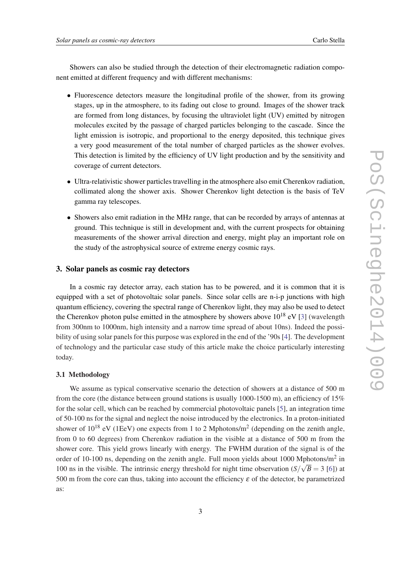Showers can also be studied through the detection of their electromagnetic radiation component emitted at different frequency and with different mechanisms:

- Fluorescence detectors measure the longitudinal profile of the shower, from its growing stages, up in the atmosphere, to its fading out close to ground. Images of the shower track are formed from long distances, by focusing the ultraviolet light (UV) emitted by nitrogen molecules excited by the passage of charged particles belonging to the cascade. Since the light emission is isotropic, and proportional to the energy deposited, this technique gives a very good measurement of the total number of charged particles as the shower evolves. This detection is limited by the efficiency of UV light production and by the sensitivity and coverage of current detectors.
- Ultra-relativistic shower particles travelling in the atmosphere also emit Cherenkov radiation, collimated along the shower axis. Shower Cherenkov light detection is the basis of TeV gamma ray telescopes.
- Showers also emit radiation in the MHz range, that can be recorded by arrays of antennas at ground. This technique is still in development and, with the current prospects for obtaining measurements of the shower arrival direction and energy, might play an important role on the study of the astrophysical source of extreme energy cosmic rays.

#### 3. Solar panels as cosmic ray detectors

In a cosmic ray detector array, each station has to be powered, and it is common that it is equipped with a set of photovoltaic solar panels. Since solar cells are n-i-p junctions with high quantum efficiency, covering the spectral range of Cherenkov light, they may also be used to detect the Cherenkov photon pulse emitted in the atmosphere by showers above  $10^{18}$  eV [[3](#page-5-0)] (wavelength from 300nm to 1000nm, high intensity and a narrow time spread of about 10ns). Indeed the possibility of using solar panels for this purpose was explored in the end of the '90s [[4](#page-5-0)]. The development of technology and the particular case study of this article make the choice particularly interesting today.

#### 3.1 Methodology

We assume as typical conservative scenario the detection of showers at a distance of 500 m from the core (the distance between ground stations is usually  $1000-1500$  m), an efficiency of  $15%$ for the solar cell, which can be reached by commercial photovoltaic panels [\[5\]](#page-5-0), an integration time of 50-100 ns for the signal and neglect the noise introduced by the electronics. In a proton-initiated shower of  $10^{18}$  eV (1EeV) one expects from 1 to 2 Mphotons/m<sup>2</sup> (depending on the zenith angle, from 0 to 60 degrees) from Cherenkov radiation in the visible at a distance of 500 m from the shower core. This yield grows linearly with energy. The FWHM duration of the signal is of the order of 10-100 ns, depending on the zenith angle. Full moon yields about 1000 Mphotons/m<sup>2</sup> in 100 ns in the visible. The intrinsic energy threshold for night time observation  $(S/\sqrt{B} = 3$  [\[6\]](#page-5-0)) at 500 m from the core can thus, taking into account the efficiency  $\varepsilon$  of the detector, be parametrized as: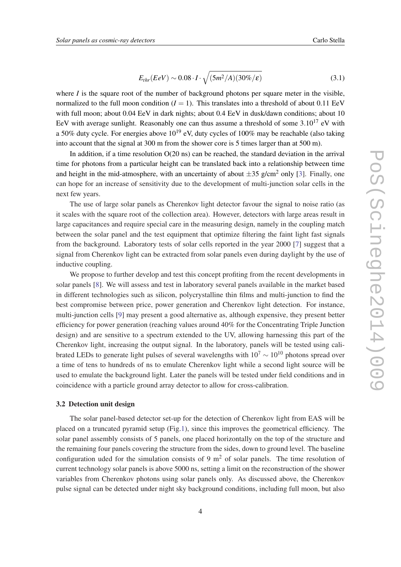$$
E_{thr}(EeV) \sim 0.08 \cdot I \cdot \sqrt{(5m^2/A)(30\%/\varepsilon)}
$$
\n(3.1)

where  $I$  is the square root of the number of background photons per square meter in the visible, normalized to the full moon condition  $(I = 1)$ . This translates into a threshold of about 0.11 EeV with full moon; about 0.04 EeV in dark nights; about 0.4 EeV in dusk/dawn conditions; about 10 EeV with average sunlight. Reasonably one can thus assume a threshold of some  $3.10^{17}$  eV with a 50% duty cycle. For energies above  $10^{19}$  eV, duty cycles of 100% may be reachable (also taking into account that the signal at 300 m from the shower core is 5 times larger than at 500 m).

In addition, if a time resolution O(20 ns) can be reached, the standard deviation in the arrival time for photons from a particular height can be translated back into a relationship between time and height in the mid-atmosphere, with an uncertainty of about  $\pm 35$  $\pm 35$  $\pm 35$  g/cm<sup>2</sup> only [3]. Finally, one can hope for an increase of sensitivity due to the development of multi-junction solar cells in the next few years.

The use of large solar panels as Cherenkov light detector favour the signal to noise ratio (as it scales with the square root of the collection area). However, detectors with large areas result in large capacitances and require special care in the measuring design, namely in the coupling match between the solar panel and the test equipment that optimize filtering the faint light fast signals from the background. Laboratory tests of solar cells reported in the year 2000 [[7](#page-5-0)] suggest that a signal from Cherenkov light can be extracted from solar panels even during daylight by the use of inductive coupling.

We propose to further develop and test this concept profiting from the recent developments in solar panels [[8](#page-5-0)]. We will assess and test in laboratory several panels available in the market based in different technologies such as silicon, polycrystalline thin films and multi-junction to find the best compromise between price, power generation and Cherenkov light detection. For instance, multi-junction cells [[9](#page-5-0)] may present a good alternative as, although expensive, they present better efficiency for power generation (reaching values around 40% for the Concentrating Triple Junction design) and are sensitive to a spectrum extended to the UV, allowing harnessing this part of the Cherenkov light, increasing the output signal. In the laboratory, panels will be tested using calibrated LEDs to generate light pulses of several wavelengths with  $10^7 \sim 10^{10}$  photons spread over a time of tens to hundreds of ns to emulate Cherenkov light while a second light source will be used to emulate the background light. Later the panels will be tested under field conditions and in coincidence with a particle ground array detector to allow for cross-calibration.

#### 3.2 Detection unit design

The solar panel-based detector set-up for the detection of Cherenkov light from EAS will be placed on a truncated pyramid setup (Fig.[1](#page-4-0)), since this improves the geometrical efficiency. The solar panel assembly consists of 5 panels, one placed horizontally on the top of the structure and the remaining four panels covering the structure from the sides, down to ground level. The baseline configuration uded for the simulation consists of 9  $m<sup>2</sup>$  of solar panels. The time resolution of current technology solar panels is above 5000 ns, setting a limit on the reconstruction of the shower variables from Cherenkov photons using solar panels only. As discussed above, the Cherenkov pulse signal can be detected under night sky background conditions, including full moon, but also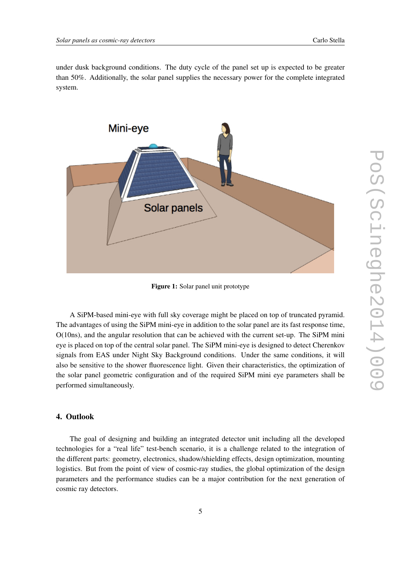<span id="page-4-0"></span>under dusk background conditions. The duty cycle of the panel set up is expected to be greater than 50%. Additionally, the solar panel supplies the necessary power for the complete integrated system.



Figure 1: Solar panel unit prototype

A SiPM-based mini-eye with full sky coverage might be placed on top of truncated pyramid. The advantages of using the SiPM mini-eye in addition to the solar panel are its fast response time, O(10ns), and the angular resolution that can be achieved with the current set-up. The SiPM mini eye is placed on top of the central solar panel. The SiPM mini-eye is designed to detect Cherenkov signals from EAS under Night Sky Background conditions. Under the same conditions, it will also be sensitive to the shower fluorescence light. Given their characteristics, the optimization of the solar panel geometric configuration and of the required SiPM mini eye parameters shall be performed simultaneously.

### 4. Outlook

The goal of designing and building an integrated detector unit including all the developed technologies for a "real life" test-bench scenario, it is a challenge related to the integration of the different parts: geometry, electronics, shadow/shielding effects, design optimization, mounting logistics. But from the point of view of cosmic-ray studies, the global optimization of the design parameters and the performance studies can be a major contribution for the next generation of cosmic ray detectors.